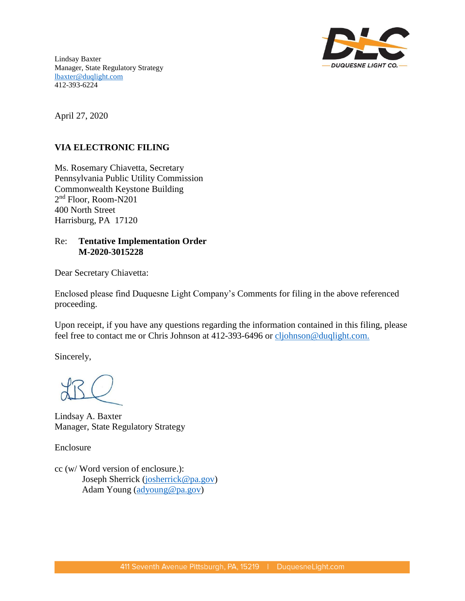

Lindsay Baxter Manager, State Regulatory Strategy [lbaxter@duqlight.com](mailto:slinton-keddie@duqlight.com) 412-393-6224

April 27, 2020

# **VIA ELECTRONIC FILING**

Ms. Rosemary Chiavetta, Secretary Pennsylvania Public Utility Commission Commonwealth Keystone Building 2 nd Floor, Room-N201 400 North Street Harrisburg, PA 17120

# Re: **Tentative Implementation Order M-2020-3015228**

Dear Secretary Chiavetta:

Enclosed please find Duquesne Light Company's Comments for filing in the above referenced proceeding.

Upon receipt, if you have any questions regarding the information contained in this filing, please feel free to contact me or Chris Johnson at 412-393-6496 or cljohnson@duqlight.com.

Sincerely,

Lindsay A. Baxter Manager, State Regulatory Strategy

Enclosure

cc (w/ Word version of enclosure.): Joseph Sherrick [\(josherrick@pa.gov\)](mailto:josherrick@pa.gov) Adam Young [\(adyoung@pa.gov\)](mailto:adyoung@pa.gov)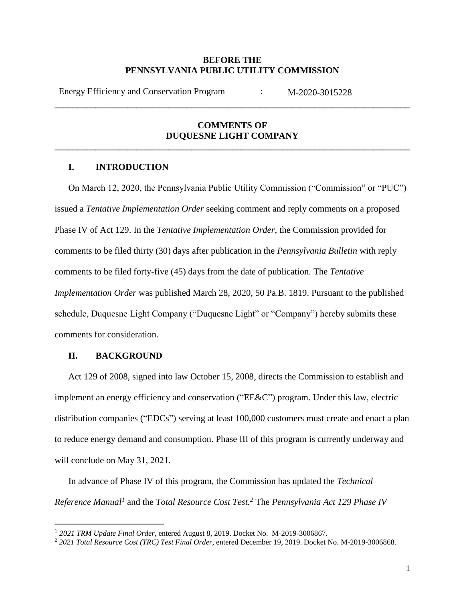## **BEFORE THE PENNSYLVANIA PUBLIC UTILITY COMMISSION**

Energy Efficiency and Conservation Program : M-2020-3015228

# **COMMENTS OF DUQUESNE LIGHT COMPANY**

**\_\_\_\_\_\_\_\_\_\_\_\_\_\_\_\_\_\_\_\_\_\_\_\_\_\_\_\_\_\_\_\_\_\_\_\_\_\_\_\_\_\_\_\_\_\_\_\_\_\_\_\_\_\_\_\_\_\_\_\_\_\_\_\_\_\_\_\_\_\_\_\_\_\_\_\_\_\_** 

**\_\_\_\_\_\_\_\_\_\_\_\_\_\_\_\_\_\_\_\_\_\_\_\_\_\_\_\_\_\_\_\_\_\_\_\_\_\_\_\_\_\_\_\_\_\_\_\_\_\_\_\_\_\_\_\_\_\_\_\_\_\_\_\_\_\_\_\_\_\_\_\_\_\_\_\_\_\_** 

# **I. INTRODUCTION**

On March 12, 2020, the Pennsylvania Public Utility Commission ("Commission" or "PUC") issued a *Tentative Implementation Order* seeking comment and reply comments on a proposed Phase IV of Act 129. In the *Tentative Implementation Order*, the Commission provided for comments to be filed thirty (30) days after publication in the *Pennsylvania Bulletin* with reply comments to be filed forty-five (45) days from the date of publication. The *Tentative Implementation Order* was published March 28, 2020, 50 Pa.B. 1819. Pursuant to the published schedule, Duquesne Light Company ("Duquesne Light" or "Company") hereby submits these comments for consideration.

## **II. BACKGROUND**

Act 129 of 2008, signed into law October 15, 2008, directs the Commission to establish and implement an energy efficiency and conservation ("EE&C") program. Under this law, electric distribution companies ("EDCs") serving at least 100,000 customers must create and enact a plan to reduce energy demand and consumption. Phase III of this program is currently underway and will conclude on May 31, 2021.

In advance of Phase IV of this program, the Commission has updated the *Technical Reference Manual<sup>1</sup>* and the *Total Resource Cost Test.<sup>2</sup>* The *Pennsylvania Act 129 Phase IV* 

<sup>&</sup>lt;sup>1</sup> 2021 TRM Update Final Order, entered August 8, 2019. Docket No. M-2019-3006867.

<sup>2</sup> *2021 Total Resource Cost (TRC) Test Final Order*, entered December 19, 2019. Docket No. M-2019-3006868.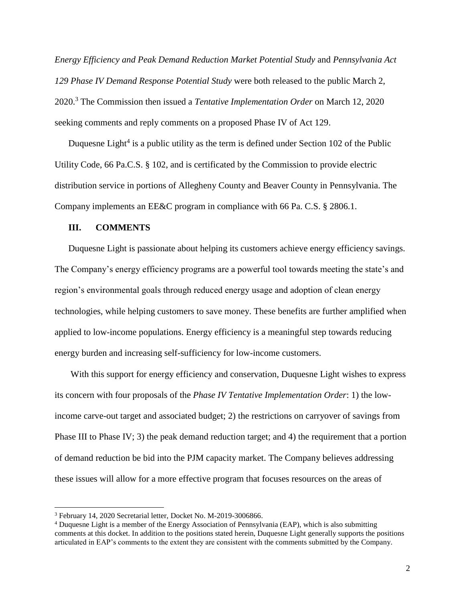*Energy Efficiency and Peak Demand Reduction Market Potential Study* and *Pennsylvania Act 129 Phase IV Demand Response Potential Study* were both released to the public March 2, 2020.<sup>3</sup> The Commission then issued a *Tentative Implementation Order* on March 12, 2020 seeking comments and reply comments on a proposed Phase IV of Act 129.

Duquesne Light<sup>4</sup> is a public utility as the term is defined under Section 102 of the Public Utility Code, 66 Pa.C.S. § 102, and is certificated by the Commission to provide electric distribution service in portions of Allegheny County and Beaver County in Pennsylvania. The Company implements an EE&C program in compliance with 66 Pa. C.S. § 2806.1.

#### **III. COMMENTS**

Duquesne Light is passionate about helping its customers achieve energy efficiency savings. The Company's energy efficiency programs are a powerful tool towards meeting the state's and region's environmental goals through reduced energy usage and adoption of clean energy technologies, while helping customers to save money. These benefits are further amplified when applied to low-income populations. Energy efficiency is a meaningful step towards reducing energy burden and increasing self-sufficiency for low-income customers.

With this support for energy efficiency and conservation, Duquesne Light wishes to express its concern with four proposals of the *Phase IV Tentative Implementation Order*: 1) the lowincome carve-out target and associated budget; 2) the restrictions on carryover of savings from Phase III to Phase IV; 3) the peak demand reduction target; and 4) the requirement that a portion of demand reduction be bid into the PJM capacity market. The Company believes addressing these issues will allow for a more effective program that focuses resources on the areas of

 $\overline{a}$ 

<sup>3</sup> February 14, 2020 Secretarial letter, Docket No. M-2019-3006866.

<sup>4</sup> Duquesne Light is a member of the Energy Association of Pennsylvania (EAP), which is also submitting comments at this docket. In addition to the positions stated herein, Duquesne Light generally supports the positions articulated in EAP's comments to the extent they are consistent with the comments submitted by the Company.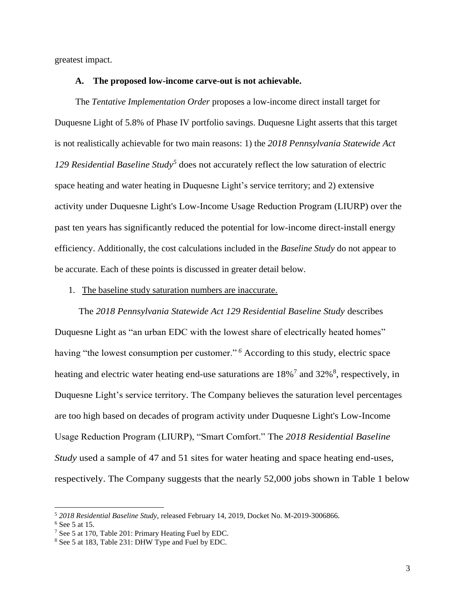greatest impact.

## **A. The proposed low-income carve-out is not achievable.**

The *Tentative Implementation Order* proposes a low-income direct install target for Duquesne Light of 5.8% of Phase IV portfolio savings. Duquesne Light asserts that this target is not realistically achievable for two main reasons: 1) the *2018 Pennsylvania Statewide Act 129 Residential Baseline Study<sup>5</sup>* does not accurately reflect the low saturation of electric space heating and water heating in Duquesne Light's service territory; and 2) extensive activity under Duquesne Light's Low-Income Usage Reduction Program (LIURP) over the past ten years has significantly reduced the potential for low-income direct-install energy efficiency. Additionally, the cost calculations included in the *Baseline Study* do not appear to be accurate. Each of these points is discussed in greater detail below.

#### 1. The baseline study saturation numbers are inaccurate.

The *2018 Pennsylvania Statewide Act 129 Residential Baseline Study* describes Duquesne Light as "an urban EDC with the lowest share of electrically heated homes" having "the lowest consumption per customer."<sup>6</sup> According to this study, electric space heating and electric water heating end-use saturations are 18%<sup>7</sup> and 32%<sup>8</sup>, respectively, in Duquesne Light's service territory. The Company believes the saturation level percentages are too high based on decades of program activity under Duquesne Light's Low-Income Usage Reduction Program (LIURP), "Smart Comfort." The *2018 Residential Baseline Study* used a sample of 47 and 51 sites for water heating and space heating end-uses, respectively. The Company suggests that the nearly 52,000 jobs shown in Table 1 below

 $\overline{a}$ 

<sup>5</sup> *2018 Residential Baseline Study,* released February 14, 2019, Docket No. M-2019-3006866.

 $6$  See 5 at 15.

<sup>7</sup> See 5 at 170, Table 201: Primary Heating Fuel by EDC.

<sup>8</sup> See 5 at 183, Table 231: DHW Type and Fuel by EDC.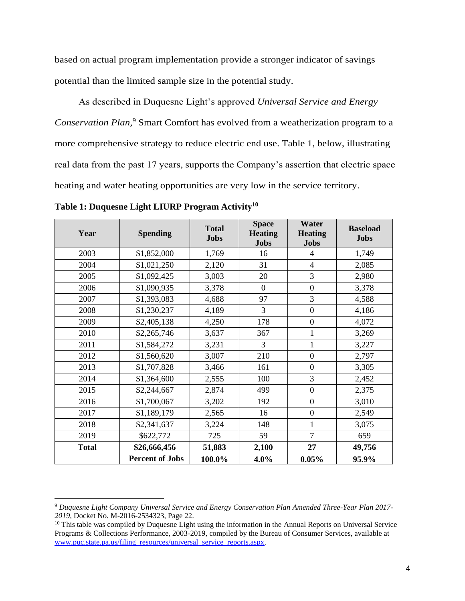based on actual program implementation provide a stronger indicator of savings potential than the limited sample size in the potential study.

As described in Duquesne Light's approved *Universal Service and Energy Conservation Plan,* <sup>9</sup> Smart Comfort has evolved from a weatherization program to a more comprehensive strategy to reduce electric end use. Table 1, below, illustrating real data from the past 17 years, supports the Company's assertion that electric space heating and water heating opportunities are very low in the service territory.

**Table 1: Duquesne Light LIURP Program Activity<sup>10</sup>**

 $\overline{\phantom{a}}$ 

| Year         | <b>Spending</b>        | <b>Total</b><br><b>Jobs</b> | <b>Space</b><br><b>Heating</b><br><b>Jobs</b> | Water<br><b>Heating</b><br><b>Jobs</b> | <b>Baseload</b><br><b>Jobs</b> |
|--------------|------------------------|-----------------------------|-----------------------------------------------|----------------------------------------|--------------------------------|
| 2003         | \$1,852,000            | 1,769                       | 16                                            | $\overline{4}$                         | 1,749                          |
| 2004         | \$1,021,250            | 2,120                       | 31                                            | $\overline{4}$                         | 2,085                          |
| 2005         | \$1,092,425            | 3,003                       | 20                                            | 3                                      | 2,980                          |
| 2006         | \$1,090,935            | 3,378                       | $\boldsymbol{0}$                              | $\mathbf{0}$                           | 3,378                          |
| 2007         | \$1,393,083            | 4,688                       | 97                                            | 3                                      | 4,588                          |
| 2008         | \$1,230,237            | 4,189                       | 3                                             | $\overline{0}$                         | 4,186                          |
| 2009         | \$2,405,138            | 4,250                       | 178                                           | $\mathbf{0}$                           | 4,072                          |
| 2010         | \$2,265,746            | 3,637                       | 367                                           | 1                                      | 3,269                          |
| 2011         | \$1,584,272            | 3,231                       | 3                                             | $\mathbf{1}$                           | 3,227                          |
| 2012         | \$1,560,620            | 3,007                       | 210                                           | $\boldsymbol{0}$                       | 2,797                          |
| 2013         | \$1,707,828            | 3,466                       | 161                                           | $\mathbf{0}$                           | 3,305                          |
| 2014         | \$1,364,600            | 2,555                       | 100                                           | 3                                      | 2,452                          |
| 2015         | \$2,244,667            | 2,874                       | 499                                           | $\mathbf{0}$                           | 2,375                          |
| 2016         | \$1,700,067            | 3,202                       | 192                                           | $\mathbf{0}$                           | 3,010                          |
| 2017         | \$1,189,179            | 2,565                       | 16                                            | $\mathbf{0}$                           | 2,549                          |
| 2018         | \$2,341,637            | 3,224                       | 148                                           | 1                                      | 3,075                          |
| 2019         | \$622,772              | 725                         | 59                                            | $\overline{7}$                         | 659                            |
| <b>Total</b> | \$26,666,456           | 51,883                      | 2,100                                         | 27                                     | 49,756                         |
|              | <b>Percent of Jobs</b> | 100.0%                      | 4.0%                                          | 0.05%                                  | 95.9%                          |

<sup>9</sup> *Duquesne Light Company Universal Service and Energy Conservation Plan Amended Three-Year Plan 2017- 2019*, Docket No. M-2016-2534323, Page 22.

<sup>&</sup>lt;sup>10</sup> This table was compiled by Duquesne Light using the information in the Annual Reports on Universal Service Programs & Collections Performance, 2003-2019, compiled by the Bureau of Consumer Services, available at [www.puc.state.pa.us/filing\\_resources/universal\\_service\\_reports.aspx.](http://www.puc.state.pa.us/filing_resources/universal_service_reports.aspx)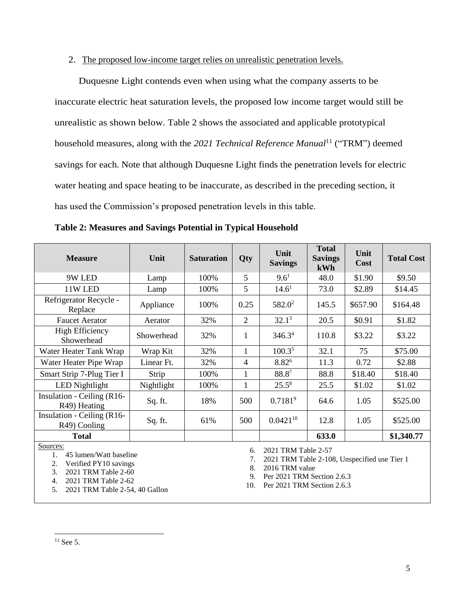## 2. The proposed low-income target relies on unrealistic penetration levels.

Duquesne Light contends even when using what the company asserts to be inaccurate electric heat saturation levels, the proposed low income target would still be unrealistic as shown below. Table 2 shows the associated and applicable prototypical household measures, along with the 2021 *Technical Reference Manual*<sup>11</sup> ("TRM") deemed savings for each. Note that although Duquesne Light finds the penetration levels for electric water heating and space heating to be inaccurate, as described in the preceding section, it has used the Commission's proposed penetration levels in this table.

| <b>Measure</b>                                                                                                        | Unit       | <b>Saturation</b> | Qty            | Unit<br><b>Savings</b> | <b>Total</b><br><b>Savings</b><br>kWh | Unit<br>Cost | <b>Total Cost</b> |
|-----------------------------------------------------------------------------------------------------------------------|------------|-------------------|----------------|------------------------|---------------------------------------|--------------|-------------------|
| 9W LED                                                                                                                | Lamp       | 100%              | 5              | $9.6^1$                | 48.0                                  | \$1.90       | \$9.50            |
| 11W LED                                                                                                               | Lamp       | 100%              | 5              | 14.6 <sup>1</sup>      | 73.0                                  | \$2.89       | \$14.45           |
| Refrigerator Recycle -<br>Replace                                                                                     | Appliance  | 100%              | 0.25           | $582.0^2$              | 145.5                                 | \$657.90     | \$164.48          |
| <b>Faucet Aerator</b>                                                                                                 | Aerator    | 32%               | $\overline{2}$ | $32.1^3$               | 20.5                                  | \$0.91       | \$1.82            |
| <b>High Efficiency</b><br>Showerhead                                                                                  | Showerhead | 32%               | 1              | 346.3 <sup>4</sup>     | 110.8                                 | \$3.22       | \$3.22            |
| Water Heater Tank Wrap                                                                                                | Wrap Kit   | 32%               |                | 100.3 <sup>5</sup>     | 32.1                                  | 75           | \$75.00           |
| Water Heater Pipe Wrap                                                                                                | Linear Ft. | 32%               | 4              | 8.82 <sup>6</sup>      | 11.3                                  | 0.72         | \$2.88            |
| Smart Strip 7-Plug Tier I                                                                                             | Strip      | 100%              | 1              | 88.87                  | 88.8                                  | \$18.40      | \$18.40           |
| <b>LED</b> Nightlight                                                                                                 | Nightlight | 100%              | $\mathbf{1}$   | $25.5^8$               | 25.5                                  | \$1.02       | \$1.02            |
| Insulation - Ceiling (R16-<br>R <sub>49</sub> ) Heating                                                               | Sq. ft.    | 18%               | 500            | 0.7181 <sup>9</sup>    | 64.6                                  | 1.05         | \$525.00          |
| Insulation - Ceiling (R16-<br>R49) Cooling                                                                            | Sq. ft.    | 61%               | 500            | $0.0421^{10}$          | 12.8                                  | 1.05         | \$525.00          |
| <b>Total</b>                                                                                                          |            |                   |                |                        | 633.0                                 |              | \$1,340.77        |
| Sources:<br>2021 TRM Table 2-57<br>6.<br>45 lumen/Watt baseline<br>1.<br>2021 TRM Table 2-108. Unspecified use Tier 1 |            |                   |                |                        |                                       |              |                   |

**Table 2: Measures and Savings Potential in Typical Household**

2. Verified PY10 savings

3. 2021 TRM Table 2-60

4. 2021 TRM Table 2-62

5. 2021 TRM Table 2-54, 40 Gallon

7. 2021 TRM Table 2-108, Unspecified use Tier 1

8. 2016 TRM value

9. Per 2021 TRM Section 2.6.3

10. Per 2021 TRM Section 2.6.3

 $\overline{\phantom{a}}$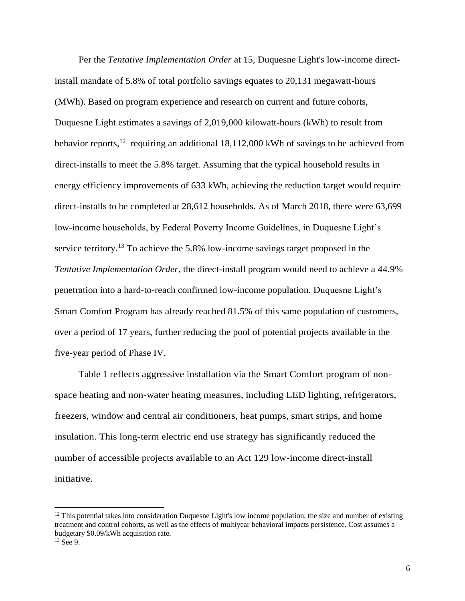Per the *Tentative Implementation Order* at 15, Duquesne Light's low-income directinstall mandate of 5.8% of total portfolio savings equates to 20,131 megawatt-hours (MWh). Based on program experience and research on current and future cohorts, Duquesne Light estimates a savings of 2,019,000 kilowatt-hours (kWh) to result from behavior reports,<sup>12</sup> requiring an additional 18,112,000 kWh of savings to be achieved from direct-installs to meet the 5.8% target. Assuming that the typical household results in energy efficiency improvements of 633 kWh, achieving the reduction target would require direct-installs to be completed at 28,612 households. As of March 2018, there were 63,699 low-income households, by Federal Poverty Income Guidelines, in Duquesne Light's service territory.<sup>13</sup> To achieve the 5.8% low-income savings target proposed in the *Tentative Implementation Order*, the direct-install program would need to achieve a 44.9% penetration into a hard-to-reach confirmed low-income population. Duquesne Light's Smart Comfort Program has already reached 81.5% of this same population of customers, over a period of 17 years, further reducing the pool of potential projects available in the five-year period of Phase IV.

Table 1 reflects aggressive installation via the Smart Comfort program of nonspace heating and non-water heating measures, including LED lighting, refrigerators, freezers, window and central air conditioners, heat pumps, smart strips, and home insulation. This long-term electric end use strategy has significantly reduced the number of accessible projects available to an Act 129 low-income direct-install initiative.

 $\overline{a}$ 

 $12$  This potential takes into consideration Duquesne Light's low income population, the size and number of existing treatment and control cohorts, as well as the effects of multiyear behavioral impacts persistence. Cost assumes a budgetary \$0.09/kWh acquisition rate.

 $13$  See 9.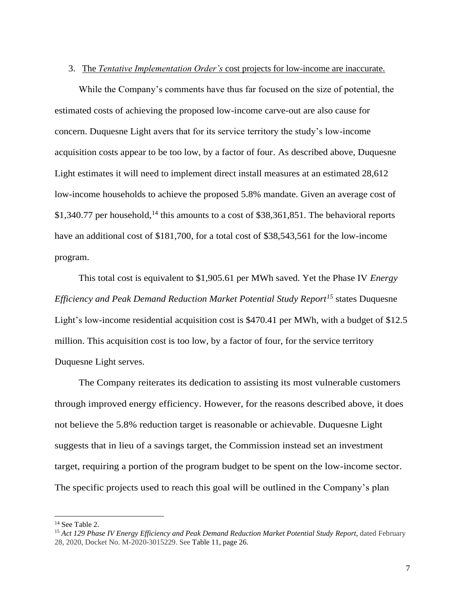### 3. The *Tentative Implementation Order's* cost projects for low-income are inaccurate.

While the Company's comments have thus far focused on the size of potential, the estimated costs of achieving the proposed low-income carve-out are also cause for concern. Duquesne Light avers that for its service territory the study's low-income acquisition costs appear to be too low, by a factor of four. As described above, Duquesne Light estimates it will need to implement direct install measures at an estimated 28,612 low-income households to achieve the proposed 5.8% mandate. Given an average cost of \$1,340.77 per household,<sup>14</sup> this amounts to a cost of \$38,361,851. The behavioral reports have an additional cost of \$181,700, for a total cost of \$38,543,561 for the low-income program.

This total cost is equivalent to \$1,905.61 per MWh saved. Yet the Phase IV *Energy Efficiency and Peak Demand Reduction Market Potential Study Report<sup>15</sup>* states Duquesne Light's low-income residential acquisition cost is \$470.41 per MWh, with a budget of \$12.5 million. This acquisition cost is too low, by a factor of four, for the service territory Duquesne Light serves.

The Company reiterates its dedication to assisting its most vulnerable customers through improved energy efficiency. However, for the reasons described above, it does not believe the 5.8% reduction target is reasonable or achievable. Duquesne Light suggests that in lieu of a savings target, the Commission instead set an investment target, requiring a portion of the program budget to be spent on the low-income sector. The specific projects used to reach this goal will be outlined in the Company's plan

l

<sup>&</sup>lt;sup>14</sup> See Table 2.

<sup>&</sup>lt;sup>15</sup> Act 129 Phase IV Energy Efficiency and Peak Demand Reduction Market Potential Study Report, dated February 28, 2020, Docket No. M-2020-3015229. See Table 11, page 26.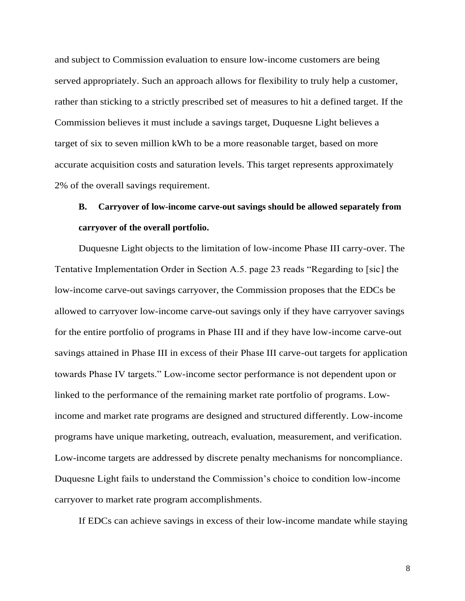and subject to Commission evaluation to ensure low-income customers are being served appropriately. Such an approach allows for flexibility to truly help a customer, rather than sticking to a strictly prescribed set of measures to hit a defined target. If the Commission believes it must include a savings target, Duquesne Light believes a target of six to seven million kWh to be a more reasonable target, based on more accurate acquisition costs and saturation levels. This target represents approximately 2% of the overall savings requirement.

# **B. Carryover of low-income carve-out savings should be allowed separately from carryover of the overall portfolio.**

Duquesne Light objects to the limitation of low-income Phase III carry-over. The Tentative Implementation Order in Section A.5. page 23 reads "Regarding to [sic] the low-income carve-out savings carryover, the Commission proposes that the EDCs be allowed to carryover low-income carve-out savings only if they have carryover savings for the entire portfolio of programs in Phase III and if they have low-income carve-out savings attained in Phase III in excess of their Phase III carve-out targets for application towards Phase IV targets." Low-income sector performance is not dependent upon or linked to the performance of the remaining market rate portfolio of programs. Lowincome and market rate programs are designed and structured differently. Low-income programs have unique marketing, outreach, evaluation, measurement, and verification. Low-income targets are addressed by discrete penalty mechanisms for noncompliance. Duquesne Light fails to understand the Commission's choice to condition low-income carryover to market rate program accomplishments.

If EDCs can achieve savings in excess of their low-income mandate while staying

8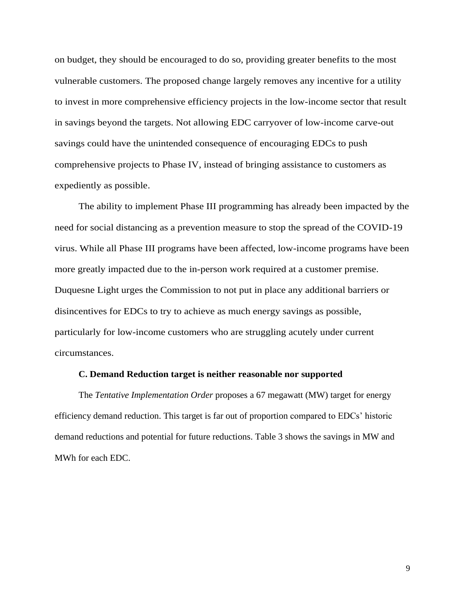on budget, they should be encouraged to do so, providing greater benefits to the most vulnerable customers. The proposed change largely removes any incentive for a utility to invest in more comprehensive efficiency projects in the low-income sector that result in savings beyond the targets. Not allowing EDC carryover of low-income carve-out savings could have the unintended consequence of encouraging EDCs to push comprehensive projects to Phase IV, instead of bringing assistance to customers as expediently as possible.

The ability to implement Phase III programming has already been impacted by the need for social distancing as a prevention measure to stop the spread of the COVID-19 virus. While all Phase III programs have been affected, low-income programs have been more greatly impacted due to the in-person work required at a customer premise. Duquesne Light urges the Commission to not put in place any additional barriers or disincentives for EDCs to try to achieve as much energy savings as possible, particularly for low-income customers who are struggling acutely under current circumstances.

### **C. Demand Reduction target is neither reasonable nor supported**

The *Tentative Implementation Order* proposes a 67 megawatt (MW) target for energy efficiency demand reduction. This target is far out of proportion compared to EDCs' historic demand reductions and potential for future reductions. Table 3 shows the savings in MW and MWh for each EDC.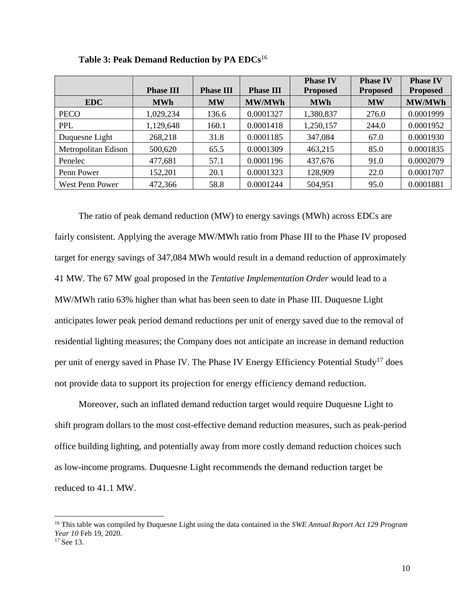|                     | <b>Phase III</b> | <b>Phase III</b> | <b>Phase III</b> | <b>Phase IV</b><br><b>Proposed</b> | <b>Phase IV</b><br><b>Proposed</b> | <b>Phase IV</b><br><b>Proposed</b> |
|---------------------|------------------|------------------|------------------|------------------------------------|------------------------------------|------------------------------------|
| <b>EDC</b>          | <b>MWh</b>       | <b>MW</b>        | <b>MW/MWh</b>    | <b>MWh</b>                         | <b>MW</b>                          | <b>MW/MWh</b>                      |
| <b>PECO</b>         | 1,029,234        | 136.6            | 0.0001327        | 1,380,837                          | 276.0                              | 0.0001999                          |
| PPL                 | 1,129,648        | 160.1            | 0.0001418        | 1,250,157                          | 244.0                              | 0.0001952                          |
| Duquesne Light      | 268,218          | 31.8             | 0.0001185        | 347,084                            | 67.0                               | 0.0001930                          |
| Metropolitan Edison | 500,620          | 65.5             | 0.0001309        | 463,215                            | 85.0                               | 0.0001835                          |
| Penelec             | 477,681          | 57.1             | 0.0001196        | 437,676                            | 91.0                               | 0.0002079                          |
| Penn Power          | 152,201          | 20.1             | 0.0001323        | 128,909                            | 22.0                               | 0.0001707                          |
| West Penn Power     | 472,366          | 58.8             | 0.0001244        | 504,951                            | 95.0                               | 0.0001881                          |

**Table 3: Peak Demand Reduction by PA EDCs**<sup>16</sup>

The ratio of peak demand reduction (MW) to energy savings (MWh) across EDCs are fairly consistent. Applying the average MW/MWh ratio from Phase III to the Phase IV proposed target for energy savings of 347,084 MWh would result in a demand reduction of approximately 41 MW. The 67 MW goal proposed in the *Tentative Implementation Order* would lead to a MW/MWh ratio 63% higher than what has been seen to date in Phase III. Duquesne Light anticipates lower peak period demand reductions per unit of energy saved due to the removal of residential lighting measures; the Company does not anticipate an increase in demand reduction per unit of energy saved in Phase IV. The Phase IV Energy Efficiency Potential Study<sup>17</sup> does not provide data to support its projection for energy efficiency demand reduction.

Moreover, such an inflated demand reduction target would require Duquesne Light to shift program dollars to the most cost-effective demand reduction measures, such as peak-period office building lighting, and potentially away from more costly demand reduction choices such as low-income programs. Duquesne Light recommends the demand reduction target be reduced to 41.1 MW.

l

<sup>16</sup> This table was compiled by Duquesne Light using the data contained in the *SWE Annual Report Act 129 Program Year 10* Feb 19, 2020.

<sup>&</sup>lt;sup>17</sup> See 13.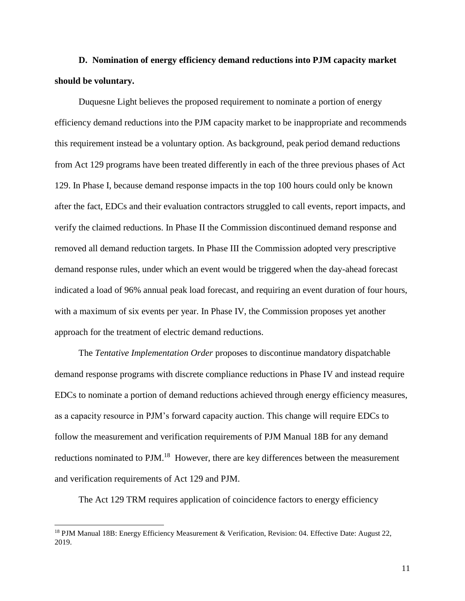**D. Nomination of energy efficiency demand reductions into PJM capacity market should be voluntary.** 

Duquesne Light believes the proposed requirement to nominate a portion of energy efficiency demand reductions into the PJM capacity market to be inappropriate and recommends this requirement instead be a voluntary option. As background, peak period demand reductions from Act 129 programs have been treated differently in each of the three previous phases of Act 129. In Phase I, because demand response impacts in the top 100 hours could only be known after the fact, EDCs and their evaluation contractors struggled to call events, report impacts, and verify the claimed reductions. In Phase II the Commission discontinued demand response and removed all demand reduction targets. In Phase III the Commission adopted very prescriptive demand response rules, under which an event would be triggered when the day-ahead forecast indicated a load of 96% annual peak load forecast, and requiring an event duration of four hours, with a maximum of six events per year. In Phase IV, the Commission proposes yet another approach for the treatment of electric demand reductions.

The *Tentative Implementation Order* proposes to discontinue mandatory dispatchable demand response programs with discrete compliance reductions in Phase IV and instead require EDCs to nominate a portion of demand reductions achieved through energy efficiency measures, as a capacity resource in PJM's forward capacity auction. This change will require EDCs to follow the measurement and verification requirements of PJM Manual 18B for any demand reductions nominated to PJM.<sup>18</sup> However, there are key differences between the measurement and verification requirements of Act 129 and PJM.

The Act 129 TRM requires application of coincidence factors to energy efficiency

l

<sup>18</sup> PJM Manual 18B: Energy Efficiency Measurement & Verification, Revision: 04. Effective Date: August 22, 2019.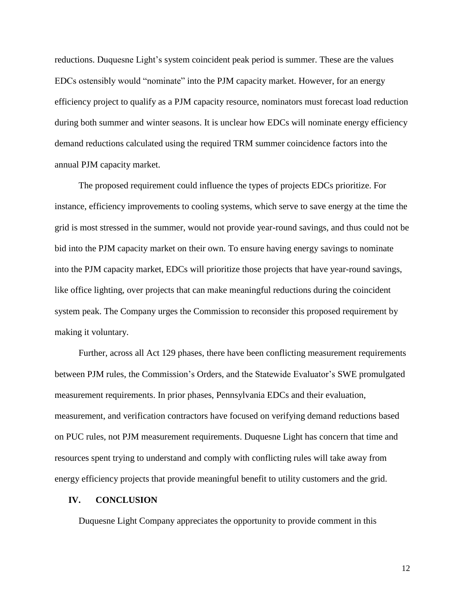reductions. Duquesne Light's system coincident peak period is summer. These are the values EDCs ostensibly would "nominate" into the PJM capacity market. However, for an energy efficiency project to qualify as a PJM capacity resource, nominators must forecast load reduction during both summer and winter seasons. It is unclear how EDCs will nominate energy efficiency demand reductions calculated using the required TRM summer coincidence factors into the annual PJM capacity market.

The proposed requirement could influence the types of projects EDCs prioritize. For instance, efficiency improvements to cooling systems, which serve to save energy at the time the grid is most stressed in the summer, would not provide year-round savings, and thus could not be bid into the PJM capacity market on their own. To ensure having energy savings to nominate into the PJM capacity market, EDCs will prioritize those projects that have year-round savings, like office lighting, over projects that can make meaningful reductions during the coincident system peak. The Company urges the Commission to reconsider this proposed requirement by making it voluntary.

Further, across all Act 129 phases, there have been conflicting measurement requirements between PJM rules, the Commission's Orders, and the Statewide Evaluator's SWE promulgated measurement requirements. In prior phases, Pennsylvania EDCs and their evaluation, measurement, and verification contractors have focused on verifying demand reductions based on PUC rules, not PJM measurement requirements. Duquesne Light has concern that time and resources spent trying to understand and comply with conflicting rules will take away from energy efficiency projects that provide meaningful benefit to utility customers and the grid.

#### **IV. CONCLUSION**

Duquesne Light Company appreciates the opportunity to provide comment in this

12